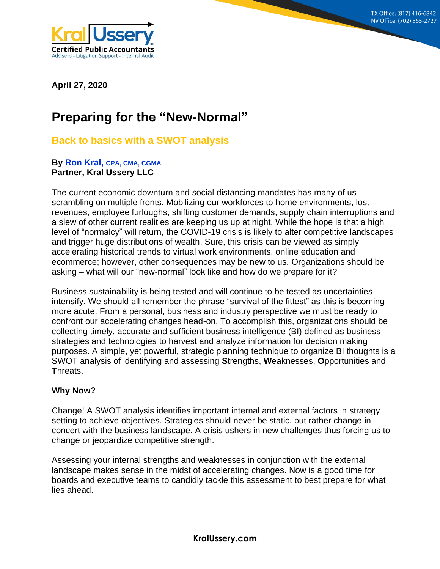**8215 S. Eastern Ave, Suite 235 Las Vegas, NV 89123 (702) 565-2727**



**April 27, 2020**

# **Preparing for the "New-Normal"**

## **Back to basics with a SWOT analysis**

## **By [Ron Kral,](mailto:Rkral@KralUssery.com) CPA, CMA, CGMA Partner, Kral Ussery LLC**

The current economic downturn and social distancing mandates has many of us scrambling on multiple fronts. Mobilizing our workforces to home environments, lost revenues, employee furloughs, shifting customer demands, supply chain interruptions and a slew of other current realities are keeping us up at night. While the hope is that a high level of "normalcy" will return, the COVID-19 crisis is likely to alter competitive landscapes and trigger huge distributions of wealth. Sure, this crisis can be viewed as simply accelerating historical trends to virtual work environments, online education and ecommerce; however, other consequences may be new to us. Organizations should be asking – what will our "new-normal" look like and how do we prepare for it?

Business sustainability is being tested and will continue to be tested as uncertainties intensify. We should all remember the phrase "survival of the fittest" as this is becoming more acute. From a personal, business and industry perspective we must be ready to confront our accelerating changes head-on. To accomplish this, organizations should be collecting timely, accurate and sufficient business intelligence (BI) defined as business strategies and technologies to harvest and analyze information for decision making purposes. A simple, yet powerful, strategic planning technique to organize BI thoughts is a SWOT analysis of identifying and assessing **S**trengths, **W**eaknesses, **O**pportunities and **T**hreats.

## **Why Now?**

Change! A SWOT analysis identifies important internal and external factors in strategy setting to achieve objectives. Strategies should never be static, but rather change in concert with the business landscape. A crisis ushers in new challenges thus forcing us to change or jeopardize competitive strength.

Assessing your internal strengths and weaknesses in conjunction with the external landscape makes sense in the midst of accelerating changes. Now is a good time for boards and executive teams to candidly tackle this assessment to best prepare for what lies ahead.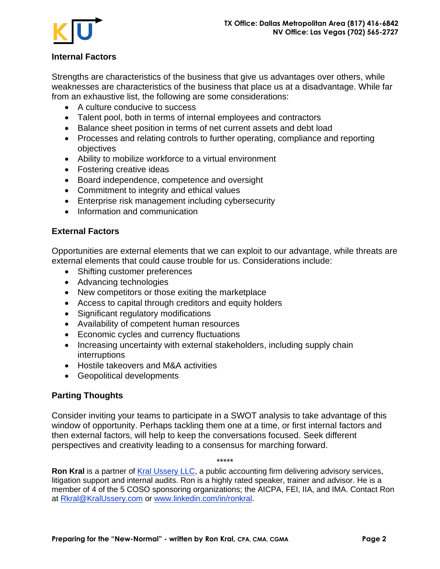



Strengths are characteristics of the business that give us advantages over others, while weaknesses are characteristics of the business that place us at a disadvantage. While far from an exhaustive list, the following are some considerations:

- A culture conducive to success
- Talent pool, both in terms of internal employees and contractors
- Balance sheet position in terms of net current assets and debt load
- Processes and relating controls to further operating, compliance and reporting objectives
- Ability to mobilize workforce to a virtual environment
- Fostering creative ideas
- Board independence, competence and oversight
- Commitment to integrity and ethical values
- Enterprise risk management including cybersecurity
- Information and communication

## **External Factors**

Opportunities are external elements that we can exploit to our advantage, while threats are external elements that could cause trouble for us. Considerations include:

- Shifting customer preferences
- Advancing technologies
- New competitors or those exiting the marketplace
- Access to capital through creditors and equity holders
- Significant regulatory modifications
- Availability of competent human resources
- Economic cycles and currency fluctuations
- Increasing uncertainty with external stakeholders, including supply chain interruptions
- Hostile takeovers and M&A activities
- Geopolitical developments

## **Parting Thoughts**

Consider inviting your teams to participate in a SWOT analysis to take advantage of this window of opportunity. Perhaps tackling them one at a time, or first internal factors and then external factors, will help to keep the conversations focused. Seek different perspectives and creativity leading to a consensus for marching forward.

\*\*\*\*\*

**Ron Kral** is a partner of [Kral Ussery LLC,](http://www.kralussery.com/) a public accounting firm delivering advisory services, litigation support and internal audits. Ron is a highly rated speaker, trainer and advisor. He is a member of 4 of the 5 COSO sponsoring organizations; the AICPA, FEI, IIA, and IMA. Contact Ron at [Rkral@KralUssery.com](mailto:Rkral@KralUssery.com) or [www.linkedin.com/in/ronkral.](http://www.linkedin.com/in/ronkral)